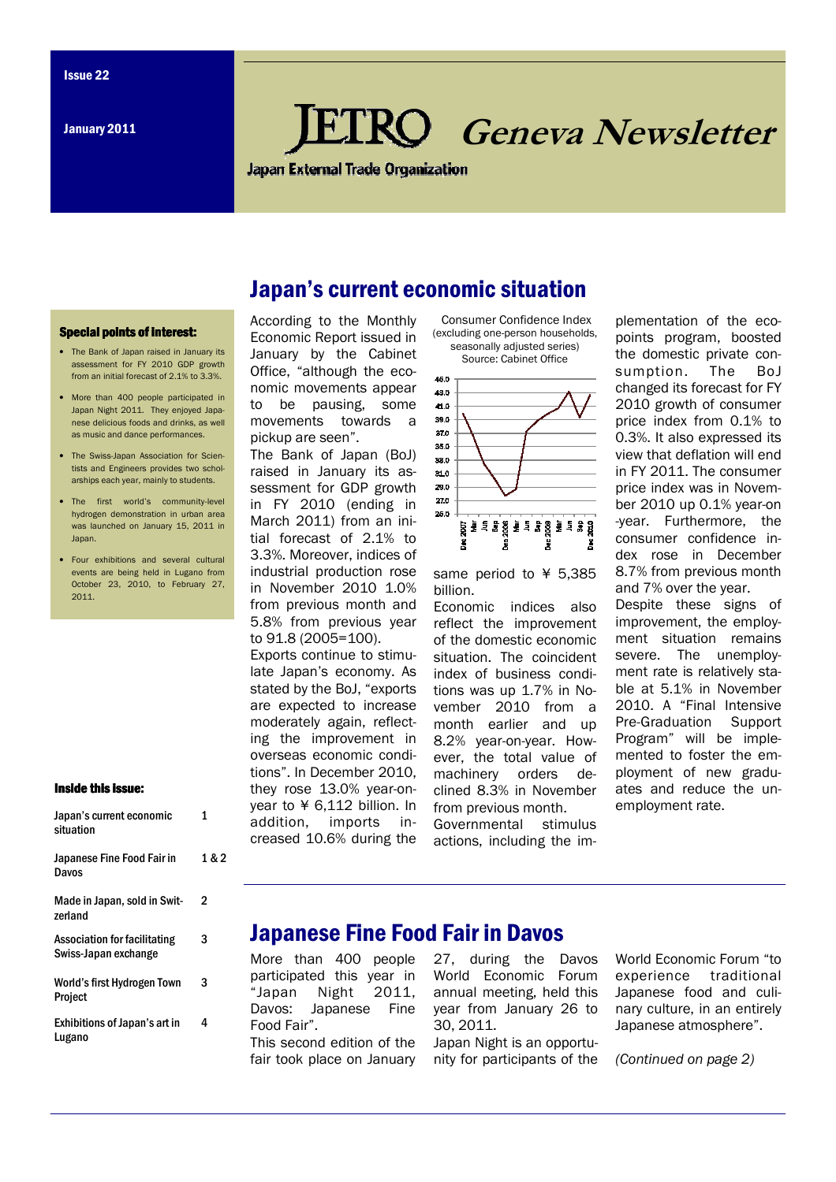January 2011

# Geneva Newsletter

**Japan External Trade Organization** 

#### Special points of interest:

- The Bank of Japan raised in January its assessment for FY 2010 GDP growth from an initial forecast of 2.1% to 3.3%.
- More than 400 people participated in Japan Night 2011. They enjoyed Japanese delicious foods and drinks, as well as music and dance performances.
- The Swiss-Japan Association for Scientists and Engineers provides two scholarships each year, mainly to students.
- The first world's community-level hydrogen demonstration in urban area was launched on January 15, 2011 in Japan.
- Four exhibitions and several cultural events are being held in Lugano from October 23, 2010, to February 27 2011.

#### Inside this issue:

| Japan's current economic<br>situation                       | 1     |
|-------------------------------------------------------------|-------|
| Japanese Fine Food Fair in<br>Davos                         | 1 & 2 |
| Made in Japan, sold in Swit-<br>zerland                     | 2     |
| <b>Association for facilitating</b><br>Swiss-Japan exchange | 3     |
| World's first Hydrogen Town<br>Project                      | 3     |
| Exhibitions of Japan's art in<br>Lugano                     | 4     |

#### According to the Monthly Japan's current economic situation Consumer Confidence Index

Economic Report issued in January by the Cabinet Office, "although the economic movements appear to be pausing, some movements towards a pickup are seen".

The Bank of Japan (BoJ) raised in January its assessment for GDP growth in FY 2010 (ending in March 2011) from an initial forecast of 2.1% to 3.3%. Moreover, indices of industrial production rose in November 2010 1.0% from previous month and 5.8% from previous year to 91.8 (2005=100).

Exports continue to stimulate Japan's economy. As stated by the BoJ, "exports are expected to increase moderately again, reflecting the improvement in overseas economic conditions". In December 2010, they rose 13.0% year-onyear to ¥ 6,112 billion. In addition, imports increased 10.6% during the (excluding one-person households, seasonally adjusted series) Source: Cabinet Office



same period to ¥ 5,385 billion.

Economic indices also reflect the improvement of the domestic economic situation. The coincident index of business conditions was up 1.7% in November 2010 from a month earlier and up 8.2% year-on-year. However, the total value of machinery orders declined 8.3% in November from previous month. Governmental stimulus actions, including the im-

plementation of the ecopoints program, boosted the domestic private consumption. The BoJ changed its forecast for FY 2010 growth of consumer price index from 0.1% to 0.3%. It also expressed its view that deflation will end in FY 2011. The consumer price index was in November 2010 up 0.1% year-on -year. Furthermore, the consumer confidence index rose in December 8.7% from previous month and 7% over the year.

Despite these signs of improvement, the employment situation remains severe. The unemployment rate is relatively stable at 5.1% in November 2010. A "Final Intensive Pre-Graduation Support Program" will be implemented to foster the employment of new graduates and reduce the unemployment rate.

## Japanese Fine Food Fair in Davos

More than 400 people participated this year in "Japan Night 2011, Davos: Japanese Fine Food Fair".

This second edition of the fair took place on January

27, during the Davos World Economic Forum annual meeting, held this year from January 26 to 30, 2011.

Japan Night is an opportunity for participants of the World Economic Forum "to experience traditional Japanese food and culinary culture, in an entirely Japanese atmosphere".

(Continued on page 2)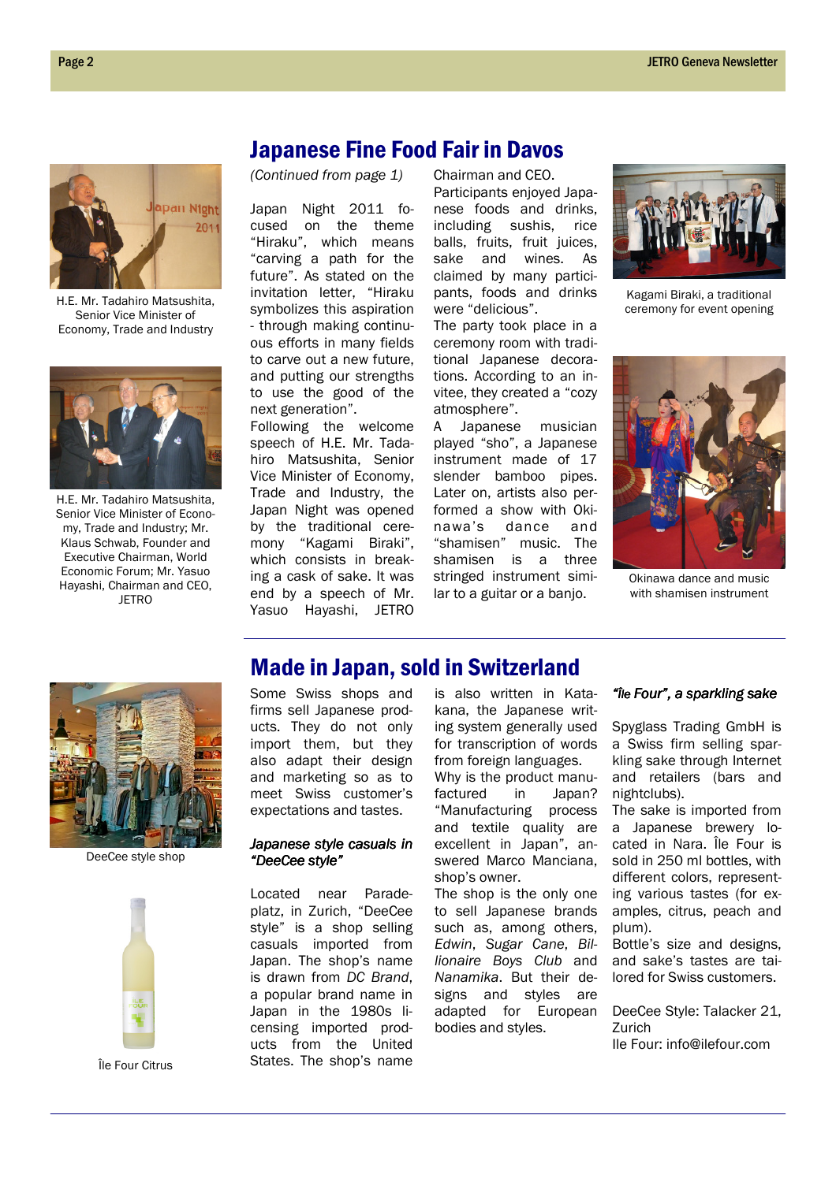

H.E. Mr. Tadahiro Matsushita, Senior Vice Minister of Economy, Trade and Industry



H.E. Mr. Tadahiro Matsushita, Senior Vice Minister of Economy, Trade and Industry; Mr. Klaus Schwab, Founder and Executive Chairman, World Economic Forum; Mr. Yasuo Hayashi, Chairman and CEO, **JETRO** 

## Japanese Fine Food Fair in Davos

(Continued from page 1)

Japan Night 2011 focused on the theme "Hiraku", which means "carving a path for the future". As stated on the invitation letter, "Hiraku symbolizes this aspiration - through making continuous efforts in many fields to carve out a new future, and putting our strengths to use the good of the next generation".

Following the welcome speech of H.E. Mr. Tadahiro Matsushita, Senior Vice Minister of Economy, Trade and Industry, the Japan Night was opened by the traditional ceremony "Kagami Biraki", which consists in breaking a cask of sake. It was end by a speech of Mr. Yasuo Hayashi, JETRO

Chairman and CEO. Participants enjoyed Japanese foods and drinks, including sushis, rice balls, fruits, fruit juices, sake and wines. As claimed by many participants, foods and drinks

were "delicious". The party took place in a ceremony room with traditional Japanese decorations. According to an invitee, they created a "cozy atmosphere".

A Japanese musician played "sho", a Japanese instrument made of 17 slender bamboo pipes. Later on, artists also performed a show with Okinawa's dance and "shamisen" music. The shamisen is a three stringed instrument similar to a guitar or a banjo.



Kagami Biraki, a traditional ceremony for event opening



Okinawa dance and music with shamisen instrument



DeeCee style shop



Île Four Citrus

## Made in Japan, sold in Switzerland

Some Swiss shops and firms sell Japanese products. They do not only import them, but they also adapt their design and marketing so as to meet Swiss customer's expectations and tastes.

#### Japanese style casuals in "DeeCee style"

Located near Paradeplatz, in Zurich, "DeeCee style" is a shop selling casuals imported from Japan. The shop's name is drawn from DC Brand, a popular brand name in Japan in the 1980s licensing imported products from the United States. The shop's name

is also written in Katakana, the Japanese writing system generally used for transcription of words from foreign languages. Why is the product manufactured in Japan? "Manufacturing process and textile quality are excellent in Japan", answered Marco Manciana, shop's owner.

The shop is the only one to sell Japanese brands such as, among others, Edwin, Sugar Cane, Billionaire Boys Club and Nanamika. But their designs and styles are adapted for European bodies and styles.

#### "Île Four", a sparkling sake

Spyglass Trading GmbH is a Swiss firm selling sparkling sake through Internet and retailers (bars and nightclubs).

The sake is imported from a Japanese brewery located in Nara. Île Four is sold in 250 ml bottles, with different colors, representing various tastes (for examples, citrus, peach and plum).

Bottle's size and designs, and sake's tastes are tailored for Swiss customers.

DeeCee Style: Talacker 21, Zurich Ile Four: info@ilefour.com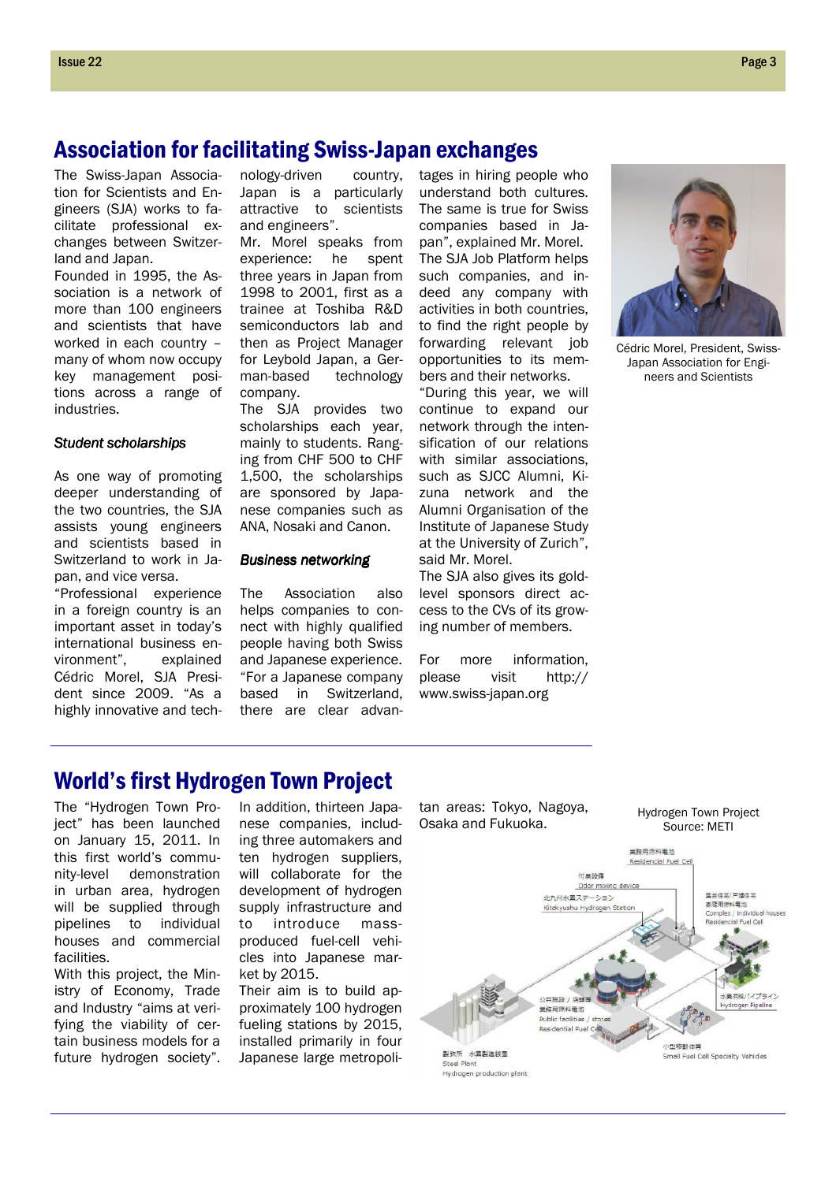## Association for facilitating Swiss-Japan exchanges

The Swiss-Japan Association for Scientists and Engineers (SJA) works to facilitate professional exchanges between Switzerland and Japan.

Founded in 1995, the Association is a network of more than 100 engineers and scientists that have worked in each country – many of whom now occupy key management positions across a range of industries.

#### Student scholarships

As one way of promoting deeper understanding of the two countries, the SJA assists young engineers and scientists based in Switzerland to work in Japan, and vice versa.

"Professional experience in a foreign country is an important asset in today's international business environment", explained Cédric Morel, SJA President since 2009. "As a highly innovative and technology-driven country, Japan is a particularly attractive to scientists and engineers".

Mr. Morel speaks from experience: he spent three years in Japan from 1998 to 2001, first as a trainee at Toshiba R&D semiconductors lab and then as Project Manager for Leybold Japan, a German-based technology company.

The SJA provides two scholarships each year, mainly to students. Ranging from CHF 500 to CHF 1,500, the scholarships are sponsored by Japanese companies such as ANA, Nosaki and Canon.

#### Business networking

The Association also helps companies to connect with highly qualified people having both Swiss and Japanese experience. "For a Japanese company based in Switzerland, there are clear advantages in hiring people who understand both cultures. The same is true for Swiss companies based in Japan", explained Mr. Morel. The SJA Job Platform helps such companies, and indeed any company with activities in both countries, to find the right people by forwarding relevant job opportunities to its members and their networks.

"During this year, we will continue to expand our network through the intensification of our relations with similar associations, such as SJCC Alumni, Kizuna network and the Alumni Organisation of the Institute of Japanese Study at the University of Zurich", said Mr. Morel.

The SJA also gives its goldlevel sponsors direct access to the CVs of its growing number of members.

For more information, please visit http:// www.swiss-japan.org



Cédric Morel, President, Swiss-Japan Association for Engineers and Scientists

Hydrogen Town Project Source: METI

## World's first Hydrogen Town Project

The "Hydrogen Town Project" has been launched on January 15, 2011. In this first world's community-level demonstration in urban area, hydrogen will be supplied through pipelines to individual houses and commercial facilities.

With this project, the Ministry of Economy, Trade and Industry "aims at verifying the viability of certain business models for a future hydrogen society".

In addition, thirteen Japanese companies, including three automakers and ten hydrogen suppliers, will collaborate for the development of hydrogen supply infrastructure and to introduce massproduced fuel-cell vehicles into Japanese market by 2015.

Their aim is to build approximately 100 hydrogen fueling stations by 2015, installed primarily in four Japanese large metropolitan areas: Tokyo, Nagoya, Osaka and Fukuoka.